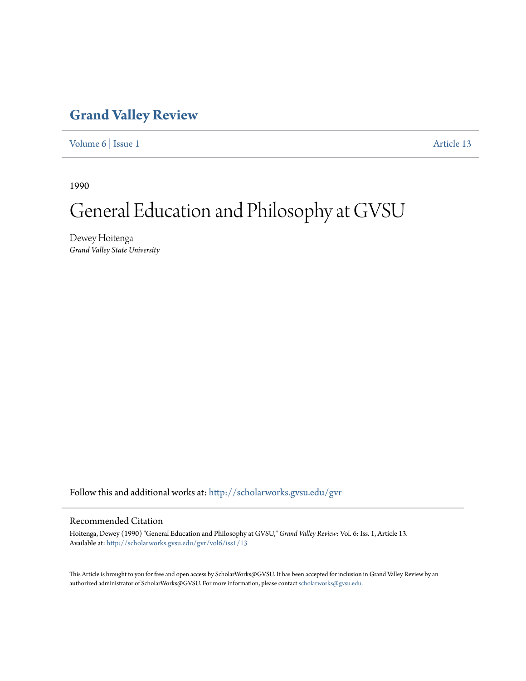## **[Grand Valley Review](http://scholarworks.gvsu.edu/gvr?utm_source=scholarworks.gvsu.edu%2Fgvr%2Fvol6%2Fiss1%2F13&utm_medium=PDF&utm_campaign=PDFCoverPages)**

[Volume 6](http://scholarworks.gvsu.edu/gvr/vol6?utm_source=scholarworks.gvsu.edu%2Fgvr%2Fvol6%2Fiss1%2F13&utm_medium=PDF&utm_campaign=PDFCoverPages) | [Issue 1](http://scholarworks.gvsu.edu/gvr/vol6/iss1?utm_source=scholarworks.gvsu.edu%2Fgvr%2Fvol6%2Fiss1%2F13&utm_medium=PDF&utm_campaign=PDFCoverPages) [Article 13](http://scholarworks.gvsu.edu/gvr/vol6/iss1/13?utm_source=scholarworks.gvsu.edu%2Fgvr%2Fvol6%2Fiss1%2F13&utm_medium=PDF&utm_campaign=PDFCoverPages)

1990

# General Education and Philosophy at GVSU

Dewey Hoitenga *Grand Valley State University*

Follow this and additional works at: [http://scholarworks.gvsu.edu/gvr](http://scholarworks.gvsu.edu/gvr?utm_source=scholarworks.gvsu.edu%2Fgvr%2Fvol6%2Fiss1%2F13&utm_medium=PDF&utm_campaign=PDFCoverPages)

### Recommended Citation

Hoitenga, Dewey (1990) "General Education and Philosophy at GVSU," *Grand Valley Review*: Vol. 6: Iss. 1, Article 13. Available at: [http://scholarworks.gvsu.edu/gvr/vol6/iss1/13](http://scholarworks.gvsu.edu/gvr/vol6/iss1/13?utm_source=scholarworks.gvsu.edu%2Fgvr%2Fvol6%2Fiss1%2F13&utm_medium=PDF&utm_campaign=PDFCoverPages)

This Article is brought to you for free and open access by ScholarWorks@GVSU. It has been accepted for inclusion in Grand Valley Review by an authorized administrator of ScholarWorks@GVSU. For more information, please contact [scholarworks@gvsu.edu.](mailto:scholarworks@gvsu.edu)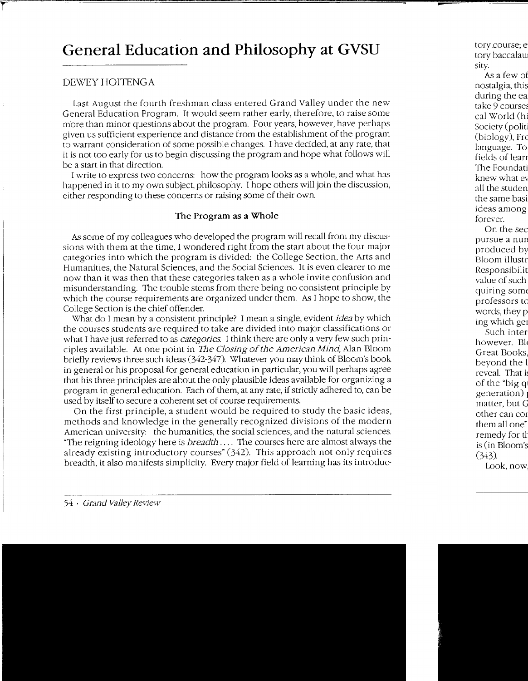## **General Education and Philosophy at GVSU**

## DEWEY HOITENGA

Last August the fourth freshman class entered Grand Valley under the new General Education Program. It would seem rather early, therefore, to raise some more than minor questions about the program. Four years, however, have perhaps given us sufficient experience and distance from the establishment of the program to warrant consideration of some possible changes. I have decided, at any rate, that it is not too early for us to begin discussing the program and hope what follows will be a start in that direction.

I write to express two concerns: how the program looks as a whole, and what has happened in it to my own subject, philosophy. I hope others will join the discussion, either responding to these concerns or raising some of their own.

## The Program as a Whole

As some of my colleagues who developed the program will recall from my discussions with them at the time, I wondered right from the start about the four major categories into which the program is divided: the College Section, the Arts and Humanities, the Natural Sciences, and the Social Sciences. It is even clearer to me now than it was then that these categories taken as a whole invite confusion and misunderstanding. The trouble stems from there being no consistent principle by which the course requirements are organized under them. As I hope to show, the College Section is the chief offender.

\\'nat do I mean by a consistent principle? I mean a single, evident *idea* by which the courses students are required to take are divided into major classifications or what I have just referred to as *categories.* I think there are only a very few such principles available. At one point in *The Closing of the American Mind*, Alan Bloom briefly reviews three such ideas (342-347). Whatever you may think of Bloom's book in general or his proposal for general education in particular, you will perhaps agree that his three principles are about the only plausible ideas available for organizing a program in general education. Each of them, at any rate, if strictly adhered to, can be used by itself to secure a coherent set of course requirements.

On the first principle, a student would be required to study the basic ideas, methods and knowledge in the generally recognized divisions of the modern American university: the humanities, the social sciences, and the natural sciences. "The reigning ideology here is *breadth* .... The courses here are almost always the already existing introductory courses" (342). This approach not only requires breadth, it also manifests simplicity. Every major field of learning has its introduc-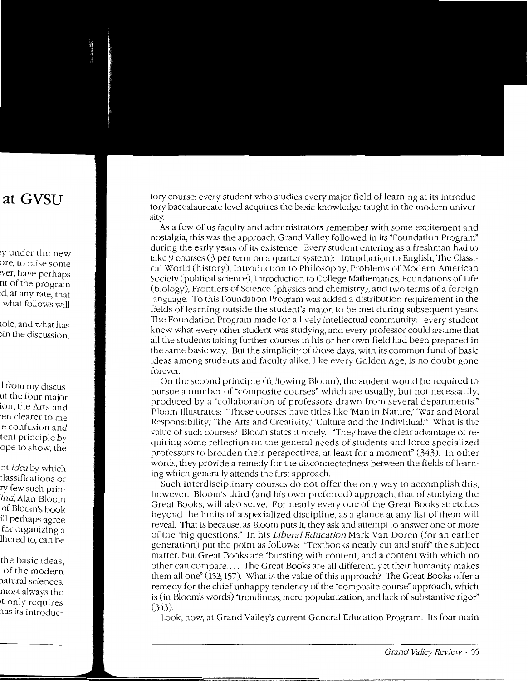tory course; every student who studies every major field of learning at its introductory baccalaureate level acquires the basic knowledge taught in the modern university.

As a few of us faculty and administrators remember with some excitement and nostalgia, this was the approach Grand Valley followed in its "Foundation Program" during the early years of its existence. Every student entering as a freshman had to take 9 courses (3 per term on a quarter system): Introduction to English, The Classical World (history), Introduction to Philosophy, Problems of Modern American Society (political science), Introduction to College Mathematics, Foundations of Life (biology), Frontiers of Science (physics and chemistry), and two terms of a foreign language. To this Foundation Program was added a distribution requirement in the fields of learning outside the student's major, to be met during subsequent years. The Foundation Program made for a lively intellectual community: every student knew what every other student was studying, and every professor could assume that all the students taking further courses in his or her own field had been prepared in the same basic way. But the simplicity of those days, with its common fund of basic ideas among students and faculty alike, like every Golden Age, is no doubt gone forever.

On the second principle (following Bloom), the student would be required to pursue a number of "composite courses" which are usually, but not necessarily, produced by a "collaboration of professors drawn from several departments." Bloom illustrates: "These courses have titles like 'Man in Nature,' 'War and Moral Responsibility,' '1he Arts and Creativity,' 'Culture and the Individual.'" What is the value of such courses? Bloom states it nicely: "They have the clear advantage of requiring some reflection on the general needs of students and force specialized professors to broaden their perspectives, at least for a moment" (343). In other words, they provide a remedy for the disconnectedness between the fields of learning which generally attends the first approach.

Such interdisciplinary courses do not offer the only way to accomplish this, however. Bloom's third (and his own preferred) approach, that of studying the Great Books, will also serve. For nearly every one of the Great Books stretches beyond the limits of a specialized discipline, as a glance at any list of them will reveal. That is because, as Bloom puts it, they ask and attempt to answer one or more of the "big questions." In his *Liberal Education* Mark Van Doren (for an earlier generation) put the point as follows: "Textbooks neatly cut and stuff" the subject matter, but Great Books are "bursting with content, and a content with which no other can compare .... The Great Books are all different, *ye<sup>t</sup>*their humanity makes them all one" (152; 157). \\'hat is the value of this approach? The Great Books offer a remedy for the chief unhappy tendency of the "composite course" approach, which is (in Bloom's words) "trendiness, mere popularization, and lack of substantive rigor" (343).

Look, now, at Grand Valley's current General Education Program. Its four main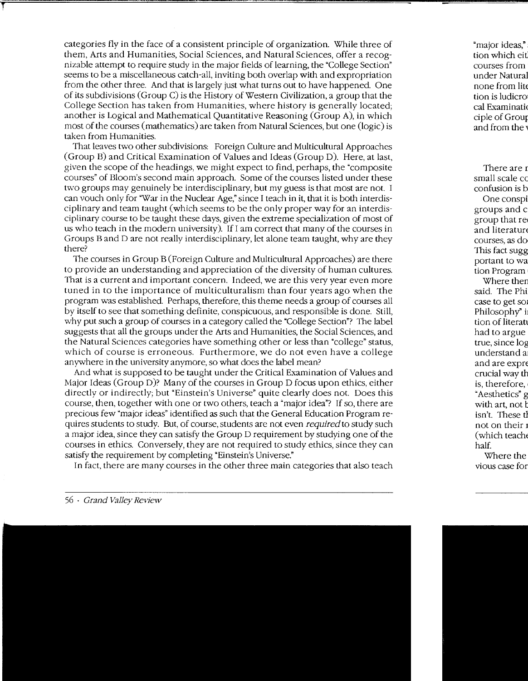categories fly in the face of a consistent principle of organization. \Vhile three of them, Arts and Humanities, Social Sciences, and Natural Sciences, offer a recognizable attempt to require study in the major fields of learning, the "College Section" seems to be a miscellaneous catch-all, inviting both overlap with and expropriation from the other three. And that is largely just what turns out to have happened. One of its subdivisions (Group C) is the History of Western Civilization, a group that the College Section has taken from Humanities, where history is generally located; another is Logical and Mathematical Quantitative Reasoning (Group A), in which most of the courses (mathematics) are taken from Natural Sciences, but one (logic) is taken from Humanities.

That leaves two other subdivisions: Foreign Culture and Multicultural Approaches (Group B) and Critical Examination of Values and Ideas (Group D). Here, at last, given the scope of the headings, we might expect to find, perhaps, the "composite courses" of Bloom's second main approach. Some of the courses listed under these two groups may genuinely be interdisciplinary, but my guess is that most are not. I can vouch only for "War in the Nuclear Age," since I teach in it, that it is both interdisciplinary and team taught (which seems to be the only proper way for an interdisciplinary course to be taught these days, given the extreme specialization of most of us who teach in the modern university). If I am correct that many of the courses in Groups Band D are not really interdisciplinary, let alone team taught, why are they there?

The courses in Group B (Foreign Culture and Multicultural Approaches) are there to provide an understanding and appreciation of the diversity of human cultures. That is a current and important concern. Indeed, we are this very year even more tuned in to the importance of multiculturalism than four years ago when the program was established. Perhaps, therefore, this theme needs a group of courses all by itself to see that something definite, conspicuous, and responsible is done. Still, why put such a group of courses in a category called the "College Section"? The label suggests that all the groups under the Arts and Humanities, the Social Sciences, and the Natural Sciences categories have something other or less than "college" status, which of course is erroneous. Furthermore, we do not even have a college anywhere in the university anymore, so what does the label mean?

And what is supposed to be taught under the Critical Examination of Values and Major Ideas (Group D)? Many of the courses in Group D focus upon ethics, either directly or indirectly; but "Einstein's Universe" quite clearly does not. Does this course, then, together with one or two others, teach a "major idea"? If so, there are precious few "major ideas" identified as such that the General Education Program requires students to study. But, of course, students are not even *required* to study such a major idea, since they can satisfy the Group D requirement by studying one of the courses in ethics. Conversely, they are not required to study ethics, since they can satisfy the requirement by completing "Einstein's Universe."

In fact, there are many courses in the other three main categories that also teach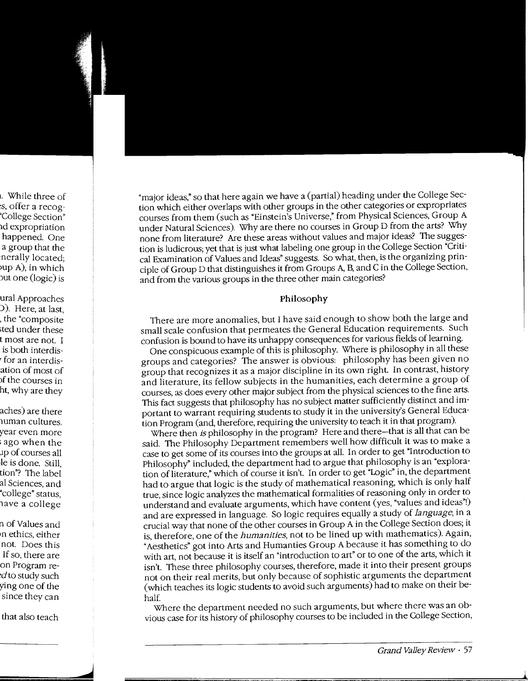"major ideas," so that here again we have a (partial) heading under the College Section which either overlaps with other groups in the other categories or expropriates courses from them (such as "Einstein's Universe," from Physical Sciences, Group A under Natural Sciences). Why are there no courses in Group D from the arts? \Vhy none from literature? Are these areas without values and major ideas? The suggestion is ludicrous; yet that is just what labeling one group in the College Section "Critical Examination of Values and Ideas" suggests. So what, then, is the organizing principle of Group D that distinguishes it from Groups *A,* B, and C in the College Section, and from the various groups in the three other main categories?

#### **Philosophy**

There are more anomalies, but I have said enough to show both the large and small scale confusion that permeates the General Education requirements. Such confusion is bound to have its unhappy consequences for various fields of learning.

One conspicuous example of this is philosophy. \'V'here is philosophy in all these groups and categories? The answer is obvious: philosophy has been given no group that recognizes it as a major discipline in its own right. In contrast, history and literature, its fellow subjects in the humanities, each determine a group of courses, as does every other major subject from the physical sciences to the fine arts. This fact suggests that philosophy has no subject matter sufficiently distinct and important to warrant requiring students to study it in the university's General Education Program (and, therefore, requiring the university to teach it in that program).

Where then *is* philosophy in the program? Here and there-that is all that can be said. The Philosophy Department remembers well how difficult it was to make a case to get some of its courses into the groups at all. In order to get "Introduction to Philosophy" included, the department had to argue that philosophy is an "exploration of literature," which of course it isn't. In order to get "Logic" in, the department had to argue that logic is the study of mathematical reasoning, which is only half true, since logic analyzes the mathematical formalities of reasoning only in order to understand and evaluate arguments, which have content (yes, "values and ideas"!) and are expressed in language. So logic requires equally a study of *language,* in a crucial way that none of the other courses in Group A in the College Section does; it is, therefore, one of the *humanities,* not to be lined up with mathematics). Again, "Aesthetics" got into Arts and Human ties Group A because it has something to do with art, not because it is itself an "introduction to art" or to one of the arts, which it isn't. These three philosophy courses, therefore, made it into their present groups not on their real merits, but only because of sophistic arguments the department (which teaches its logic students to avoid such arguments) had to make on their behalf.

Where the department needed no such arguments, but where there was an obvious case for its history of philosophy courses to be included in the College Section,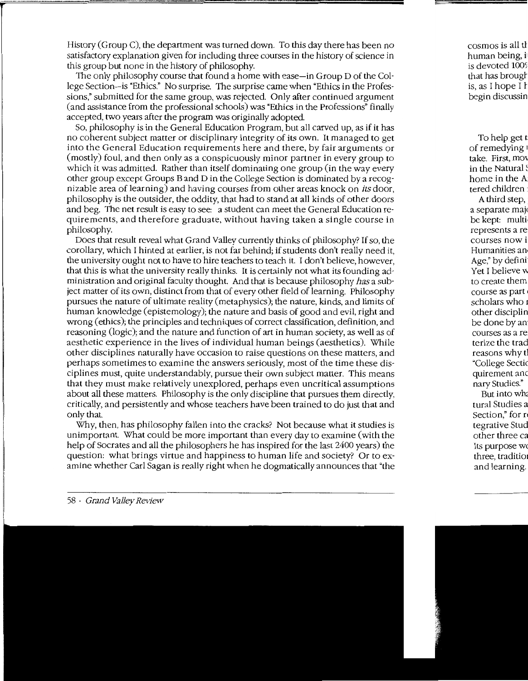History (Group C), the department was turned down. To this day there has been no satisfactory explanation given for including three courses in the history of science in this group but none in the history of philosophy.

The only philosophy course that found a home with ease-in Group D of the College Section-is "Ethics." No surprise. The surprise came when "Ethics in the Professions," submitted for the same group, was rejected. Only after continued argument (and assistance from the professional schools) was "Ethics in the Professions" finally accepted, two years after the program was originally adopted.

So, philosophy is in the General Education Program, but all carved up, as if it has no coherent subject matter or disciplinary integrity of its own. It managed to get into the General Education requirements here and there, by fair arguments or (mostly) foul, and then only as a conspicuously minor partner in every group to which it was admitted. Rather than itself dominating one group (in the way every other group except Groups Band D in the College Section is dominated by a recognizable area of learning) and having courses from other areas knock on *its* door, philosophy is the outsider, the oddity, that had to stand at all kinds of other doors and beg. The net result is easy to see: a student can meet the General Education requirements, and therefore graduate, without having taken a single course in philosophy.

Does that result reveal what Grand Valley currently thinks of philosophy? If so, the corollary, which I hinted at earlier, is not far behind; if students don't really need it, the university ought not to have to hire teachers to teach it. I don't believe, however, that this is what the university really thinks. It is certainly not what its founding administration and original faculty thought. And that is because philosophy *has* a subject matter of its own, distinct from that of every other field of learning. Philosophy pursues the nature of ultimate reality (metaphysics); the nature, kinds, and limits of human knowledge (epistemology); the nature and basis of good and evil, right and wrong (ethics); the principles and techniques of correct classification, definition, and reasoning (logic); and the nature and function of art in human society, as well as of aesthetic experience in the lives of individual human beings (aesthetics). While other disciplines naturally have occasion to raise questions on these matters, and perhaps sometimes to examine the answers seriously, most of the time these disciplines must, quite understandably, pursue their own subject matter. This means that they must make relatively unexplored, perhaps even uncritical assumptions about all these matters. Philosophy is the only discipline that pursues them directly, critically, and persistently and whose teachers have been trained to do just that and only that.

\Vhy, then, has philosophy fallen into the cracks? Not because what it studies is unimportant. What could be more important than every day to examine (with the help of Socrates and all the philosophers he has inspired for the last 2400 years) the question: what brings virtue and happiness to human life and society? Or to examine whether Carl Sagan is really right when he dogmatically announces that "the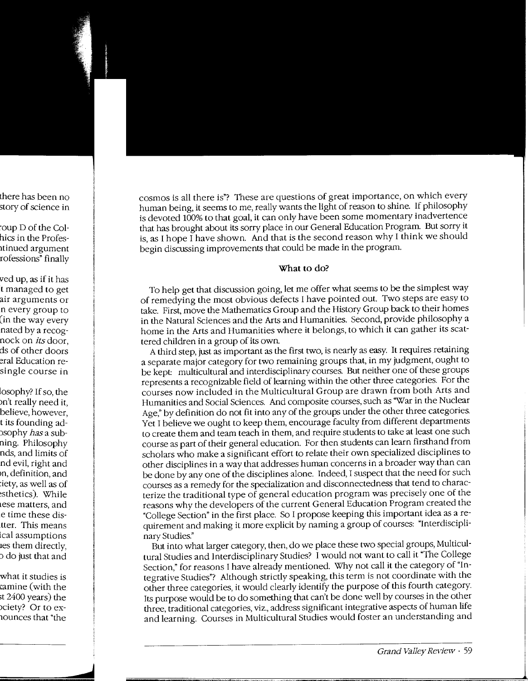cosmos is all there is"? These are questions of great importance, on which every human being, it seems to me, really wants the light of reason to shine. If philosophy is devoted 100% to that goal, it can only have been some momentary inadvertence that has brought about its sorry place in our General Education Program. But sorry it is, as I hope I have shown. And that is the second reason why I think we should begin discussing improvements that could be made in the program.

### **What** to do?

To help get that discussion going, let me offer what seems to be the simplest way of remedying the most obvious defects I have pointed out. Two steps are easy to take. First, move the Mathematics Group and the History Group back to their homes in the Natural Sciences and the Arts and Humanities. Second, provide philosophy a home in the Arts and Humanities where it belongs, to which it can gather its scattered children in a group of its own.

A third step, just as important as the first two, is nearly as easy. It requires retaining a separate major category for two remaining groups that, in my judgment, ought to be kept: multicultural and interdisciplinary courses. But neither one of these groups represents a recognizable field of learning within the other three categories. For the courses now included in the Multicultural Group are drawn from both Arts and Humanities and Social Sciences. And composite courses, such as "War in the Nuclear Age," by definition do not fit into any of the groups under the other three categories. Yet I believe we ought to keep them, encourage faculty from different departments to create them and team teach in them, and require students to take at least one such course as part of their general education. For then students can learn firsthand from scholars who make a significant effort to relate their own specialized disciplines to other disciplines in a way that addresses human concerns in a broader way than can be done by any one of the disciplines alone. Indeed, I suspect that the need for such courses as a remedy for the specialization and disconnectedness that tend to characterize the traditional type of general education program was precisely one of the reasons why the developers of the current General Education Program created the "College Section" in the first place. So I propose keeping this important idea as a requirement and making it more explicit by naming a group of courses: "Interdisciplinary Studies."

But into what larger category, then, do we place these two special groups, Multicultural Studies and Interdisciplinary Studies? I would not want to call it "The College Section," for reasons I have already mentioned. Why not call it the category of "Integrative Studies"? Although strictly speaking, this term is not coordinate with the other three categories, it would clearly identify the purpose of this fourth category. Its purpose would be to do something that can't be done well by courses in the other three, traditional categories, viz., address significant integrative aspects of human life and learning. Courses in Multicultural Studies would foster an understanding and